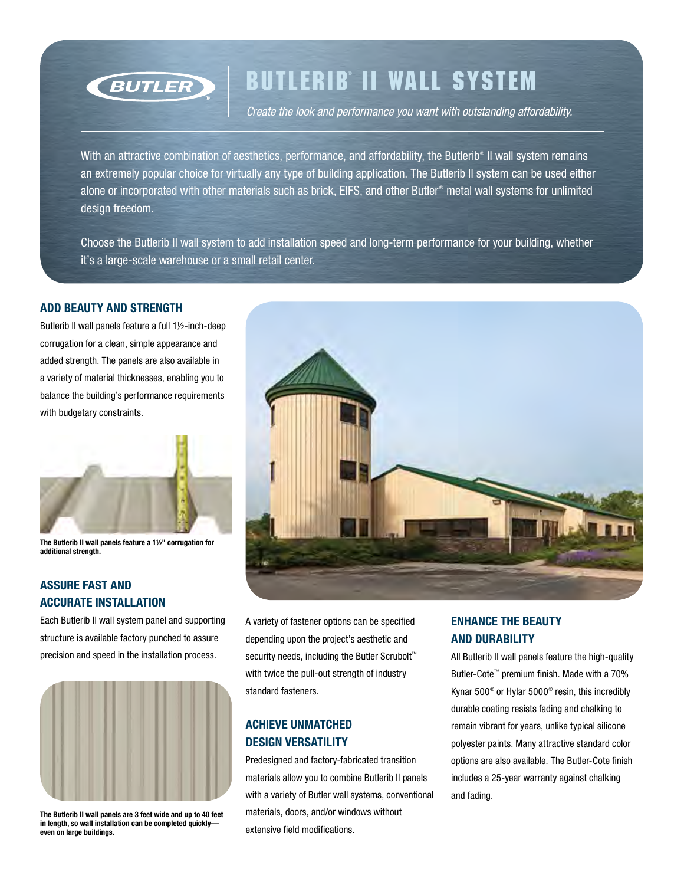

# Butlerib ® II Wall System

*Create the look and performance you want with outstanding affordability.*

With an attractive combination of aesthetics, performance, and affordability, the Butlerib® II wall system remains an extremely popular choice for virtually any type of building application. The Butlerib II system can be used either alone or incorporated with other materials such as brick, EIFS, and other Butler® metal wall systems for unlimited design freedom.

Choose the Butlerib II wall system to add installation speed and long-term performance for your building, whether it's a large-scale warehouse or a small retail center.

#### Add beauty and strength

Butlerib II wall panels feature a full 1½-inch-deep corrugation for a clean, simple appearance and added strength. The panels are also available in a variety of material thicknesses, enabling you to balance the building's performance requirements with budgetary constraints.



The Butlerib II wall panels feature a 1½" corrugation for additional strength.

### Assure fast and accurate installation

Each Butlerib II wall system panel and supporting structure is available factory punched to assure precision and speed in the installation process.



The Butlerib II wall panels are 3 feet wide and up to 40 feet in length, so wall installation can be completed quickly even on large buildings.



A variety of fastener options can be specified depending upon the project's aesthetic and security needs, including the Butler Scrubolt<sup>™</sup> with twice the pull-out strength of industry standard fasteners.

### Achieve unmatched design versatility

Predesigned and factory-fabricated transition materials allow you to combine Butlerib II panels with a variety of Butler wall systems, conventional materials, doors, and/or windows without extensive field modifications.

### Enhance the beauty and durability

All Butlerib II wall panels feature the high-quality Butler-Cote™ premium finish. Made with a 70% Kynar 500® or Hylar 5000® resin, this incredibly durable coating resists fading and chalking to remain vibrant for years, unlike typical silicone polyester paints. Many attractive standard color options are also available. The Butler-Cote finish includes a 25-year warranty against chalking and fading.